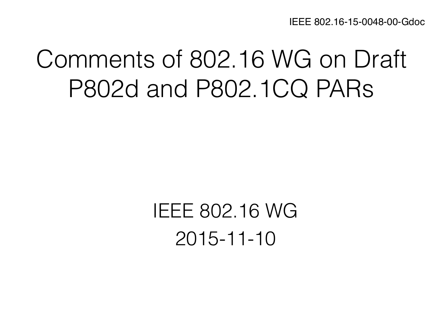IEEE 802.16-15-0048-00-Gdoc

# Comments of 802.16 WG on Draft P802d and P802.1CQ PARs

IEEE 802.16 WG 2015-11-10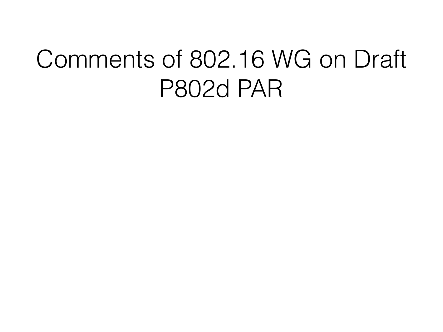# Comments of 802.16 WG on Draft P802d PAR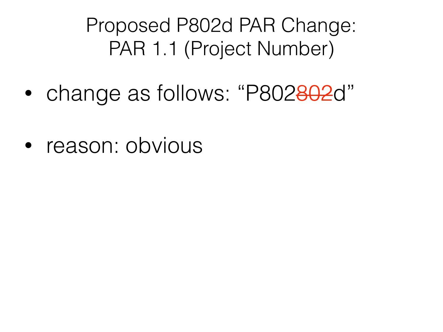Proposed P802d PAR Change: PAR 1.1 (Project Number)

- change as follows: "P802802d"
- reason: obvious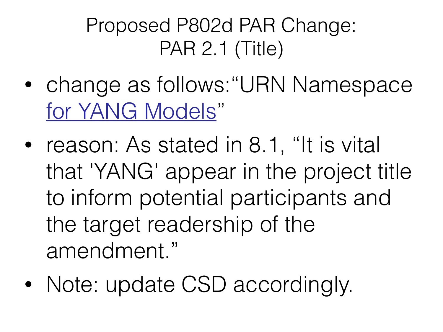### Proposed P802d PAR Change: PAR 2.1 (Title)

- change as follows:"URN Namespace for YANG Models"
- reason: As stated in 8.1, "It is vital that 'YANG' appear in the project title to inform potential participants and the target readership of the amendment."
- Note: update CSD accordingly.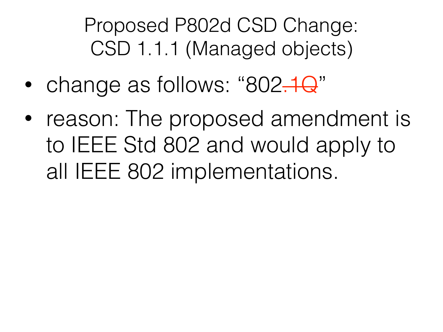Proposed P802d CSD Change: CSD 1.1.1 (Managed objects)

- change as follows: "802.1Q"
- reason: The proposed amendment is to IEEE Std 802 and would apply to all IEEE 802 implementations.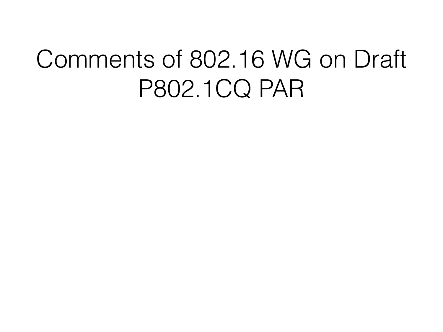# Comments of 802.16 WG on Draft P802.1CQ PAR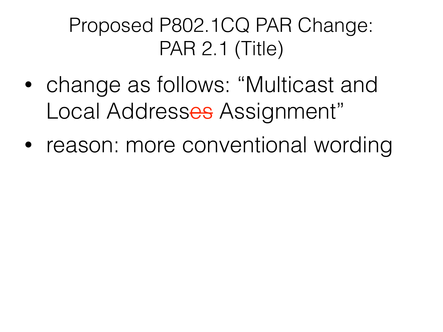### Proposed P802.1CQ PAR Change: PAR 2.1 (Title)

- change as follows: "Multicast and Local Addresses Assignment"
- reason: more conventional wording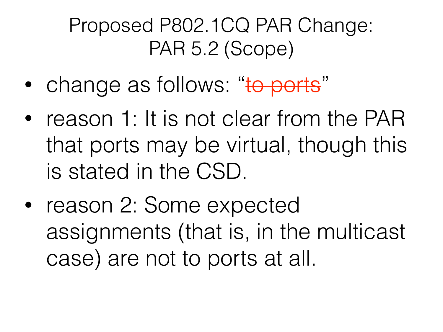### Proposed P802.1CQ PAR Change: PAR 5.2 (Scope)

- change as follows: "to ports"
- reason 1: It is not clear from the PAR that ports may be virtual, though this is stated in the CSD.
- reason 2: Some expected assignments (that is, in the multicast case) are not to ports at all.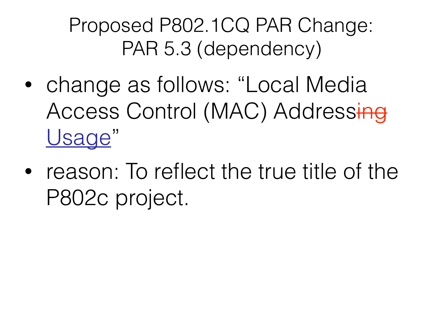Proposed P802.1CQ PAR Change: PAR 5.3 (dependency)

- change as follows: "Local Media Access Control (MAC) Addressing Usage"
- reason: To reflect the true title of the P802c project.